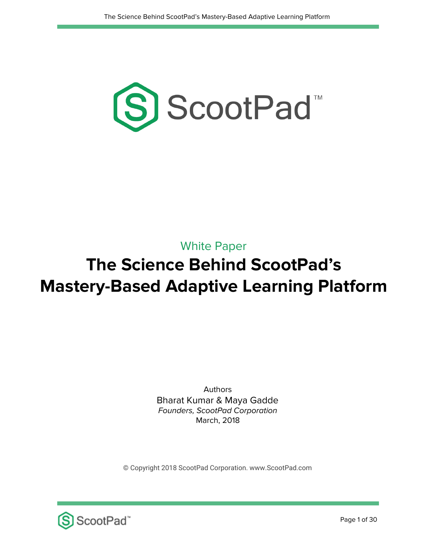

### White Paper

# **The Science Behind ScootPad's Mastery-Based Adaptive Learning Platform**

Authors Bharat Kumar & Maya Gadde Founders, ScootPad Corporation March, 2018

© Copyright 2018 ScootPad Corporation. www.ScootPad.com

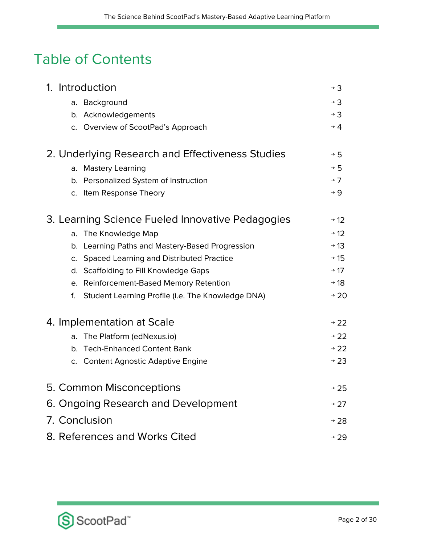## Table of Contents

| 1. Introduction                                         |                  |  |  |  |
|---------------------------------------------------------|------------------|--|--|--|
| a. Background                                           | $\rightarrow$ 3  |  |  |  |
| b. Acknowledgements                                     | $\rightarrow$ 3  |  |  |  |
| c. Overview of ScootPad's Approach                      | $\rightarrow$ 4  |  |  |  |
| 2. Underlying Research and Effectiveness Studies        | $\rightarrow$ 5  |  |  |  |
| a. Mastery Learning                                     | $\rightarrow$ 5  |  |  |  |
| b. Personalized System of Instruction                   | $\rightarrow$ 7  |  |  |  |
| c. Item Response Theory                                 | $\rightarrow 9$  |  |  |  |
| 3. Learning Science Fueled Innovative Pedagogies        |                  |  |  |  |
| The Knowledge Map<br>a.                                 | $\rightarrow$ 12 |  |  |  |
| b. Learning Paths and Mastery-Based Progression         | $\rightarrow$ 13 |  |  |  |
| c. Spaced Learning and Distributed Practice             | $\rightarrow$ 15 |  |  |  |
| d. Scaffolding to Fill Knowledge Gaps                   | $\rightarrow$ 17 |  |  |  |
| e. Reinforcement-Based Memory Retention                 | $\rightarrow$ 18 |  |  |  |
| Student Learning Profile (i.e. The Knowledge DNA)<br>f. | $+20$            |  |  |  |
| 4. Implementation at Scale                              | $\rightarrow$ 22 |  |  |  |
| The Platform (edNexus.io)<br>a.                         | $\rightarrow$ 22 |  |  |  |
| b. Tech-Enhanced Content Bank                           | $\rightarrow$ 22 |  |  |  |
| c. Content Agnostic Adaptive Engine                     | $\rightarrow$ 23 |  |  |  |
| 5. Common Misconceptions                                | $+25$            |  |  |  |
| 6. Ongoing Research and Development                     |                  |  |  |  |
| 7. Conclusion                                           |                  |  |  |  |
| 8. References and Works Cited<br>$\rightarrow$ 29       |                  |  |  |  |

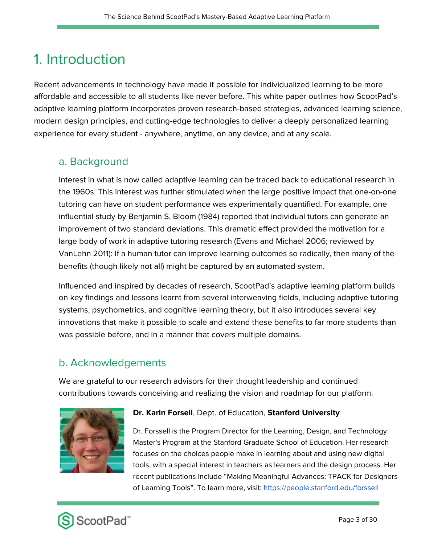## 1. Introduction

Recent advancements in technology have made it possible for individualized learning to be more affordable and accessible to all students like never before. This white paper outlines how ScootPad's adaptive learning platform incorporates proven research-based strategies, advanced learning science, modern design principles, and cutting-edge technologies to deliver a deeply personalized learning experience for every student - anywhere, anytime, on any device, and at any scale.

#### a. Background

Interest in what is now called adaptive learning can be traced back to educational research in the 1960s. This interest was further stimulated when the large positive impact that one-on-one tutoring can have on student performance was experimentally quantified. For example, one influential study by Benjamin S. Bloom (1984) reported that individual tutors can generate an improvement of two standard deviations. This dramatic effect provided the motivation for a large body of work in adaptive tutoring research (Evens and Michael 2006; reviewed by VanLehn 2011): If a human tutor can improve learning outcomes so radically, then many of the benefits (though likely not all) might be captured by an automated system.

Influenced and inspired by decades of research, ScootPad's adaptive learning platform builds on key findings and lessons learnt from several interweaving fields, including adaptive tutoring systems, psychometrics, and cognitive learning theory, but it also introduces several key innovations that make it possible to scale and extend these benefits to far more students than was possible before, and in a manner that covers multiple domains.

#### b. Acknowledgements

We are grateful to our research advisors for their thought leadership and continued contributions towards conceiving and realizing the vision and roadmap for our platform.



#### **Dr. Karin Forsell**, Dept. of Education, **Stanford University**

Dr. Forssell is the Program Director for the Learning, Design, and Technology Master's Program at the Stanford Graduate School of Education. Her research focuses on the choices people make in learning about and using new digital tools, with a special interest in teachers as learners and the design process. Her recent publications include "Making Meaningful Advances: TPACK for Designers of Learning Tools". To learn more, visit: <https://people.stanford.edu/forssell>

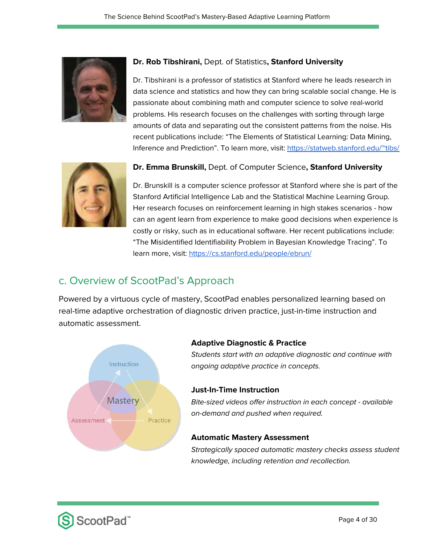

#### **Dr. Rob Tibshirani,** Dept. of Statistics**, Stanford University**

Dr. Tibshirani is a professor of statistics at Stanford where he leads research in data science and statistics and how they can bring scalable social change. He is passionate about combining math and computer science to solve real-world problems. His research focuses on the challenges with sorting through large amounts of data and separating out the consistent patterns from the noise. His recent publications include: "The Elements of Statistical Learning: Data Mining, Inference and Prediction". To learn more, visit: <https://statweb.stanford.edu/~tibs/>



#### **Dr. Emma Brunskill,** Dept. of Computer Science**, Stanford University**

Dr. Brunskill is a computer science professor at Stanford where she is part of the Stanford Artificial Intelligence Lab and the Statistical Machine Learning Group. Her research focuses on reinforcement learning in high stakes scenarios - how can an agent learn from experience to make good decisions when experience is costly or risky, such as in educational software. Her recent publications include: "The Misidentified Identifiability Problem in Bayesian Knowledge Tracing". To learn more, visit: <https://cs.stanford.edu/people/ebrun/>

### c. Overview of ScootPad's Approach

Powered by a virtuous cycle of mastery, ScootPad enables personalized learning based on real-time adaptive orchestration of diagnostic driven practice, just-in-time instruction and automatic assessment.



#### **Adaptive Diagnostic & Practice**

Students start with an adaptive diagnostic and continue with ongoing adaptive practice in concepts.

#### **Just-In-Time Instruction**

Bite-sized videos offer instruction in each concept - available on-demand and pushed when required.

#### **Automatic Mastery Assessment**

Strategically spaced automatic mastery checks assess student knowledge, including retention and recollection.

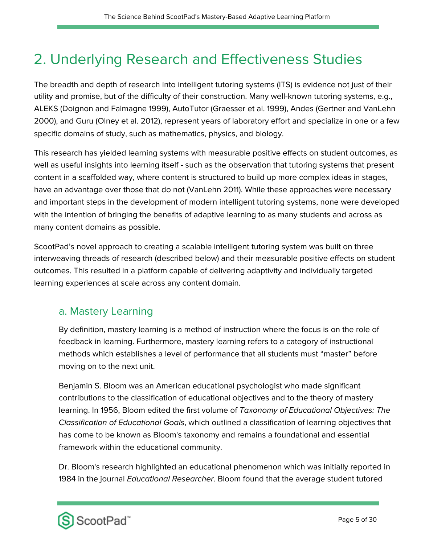## 2. Underlying Research and Effectiveness Studies

The breadth and depth of research into intelligent tutoring systems (ITS) is evidence not just of their utility and promise, but of the difficulty of their construction. Many well-known tutoring systems, e.g., ALEKS (Doignon and Falmagne 1999), AutoTutor (Graesser et al. 1999), Andes (Gertner and VanLehn 2000), and Guru (Olney et al. 2012), represent years of laboratory effort and specialize in one or a few specific domains of study, such as mathematics, physics, and biology.

This research has yielded learning systems with measurable positive effects on student outcomes, as well as useful insights into learning itself - such as the observation that tutoring systems that present content in a scaffolded way, where content is structured to build up more complex ideas in stages, have an advantage over those that do not (VanLehn 2011). While these approaches were necessary and important steps in the development of modern intelligent tutoring systems, none were developed with the intention of bringing the benefits of adaptive learning to as many students and across as many content domains as possible.

ScootPad's novel approach to creating a scalable intelligent tutoring system was built on three interweaving threads of research (described below) and their measurable positive effects on student outcomes. This resulted in a platform capable of delivering adaptivity and individually targeted learning experiences at scale across any content domain.

#### a. Mastery Learning

By definition, mastery learning is a method of instruction where the focus is on the role of feedback in learning. Furthermore, mastery learning refers to a category of instructional methods which establishes a level of performance that all students must "master" before moving on to the next unit.

Benjamin S. Bloom was an American educational psychologist who made significant contributions to the classification of educational objectives and to the theory of mastery learning. In 1956, Bloom edited the first volume of Taxonomy of Educational Objectives: The Classification of Educational Goals, which outlined a classification of learning objectives that has come to be known as Bloom's taxonomy and remains a foundational and essential framework within the educational community.

Dr. Bloom's research highlighted an educational phenomenon which was initially reported in 1984 in the journal Educational Researcher. Bloom found that the average student tutored

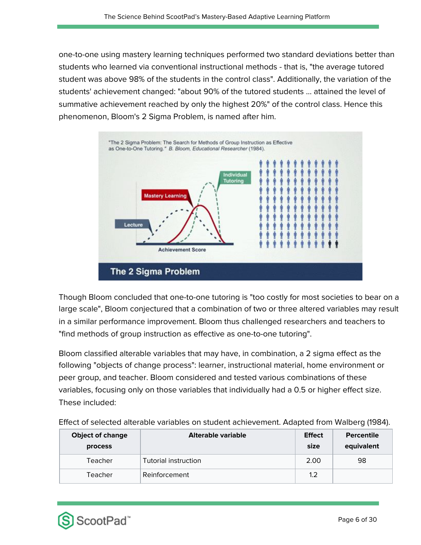one-to-one using mastery learning techniques performed two standard deviations better than students who learned via conventional instructional methods - that is, "the average tutored student was above 98% of the students in the control class". Additionally, the variation of the students' achievement changed: "about 90% of the tutored students ... attained the level of summative achievement reached by only the highest 20%" of the control class. Hence this phenomenon, Bloom's 2 Sigma Problem, is named after him.



Though Bloom concluded that one-to-one tutoring is "too costly for most societies to bear on a large scale", Bloom conjectured that a combination of two or three altered variables may result in a similar performance improvement. Bloom thus challenged researchers and teachers to "find methods of group instruction as effective as one-to-one tutoring".

Bloom classified alterable variables that may have, in combination, a 2 sigma effect as the following "objects of change process": learner, instructional material, home environment or peer group, and teacher. Bloom considered and tested various combinations of these variables, focusing only on those variables that individually had a 0.5 or higher effect size. These included:

| <b>Object of change</b><br><b>process</b> | Alterable variable   | <b>Effect</b><br>size | <b>Percentile</b><br>equivalent |
|-------------------------------------------|----------------------|-----------------------|---------------------------------|
| Teacher                                   | Tutorial instruction | 2.00                  | 98                              |
| Teacher                                   | Reinforcement        | 1.2                   |                                 |

Effect of selected alterable variables on student achievement. Adapted from Walberg (1984).

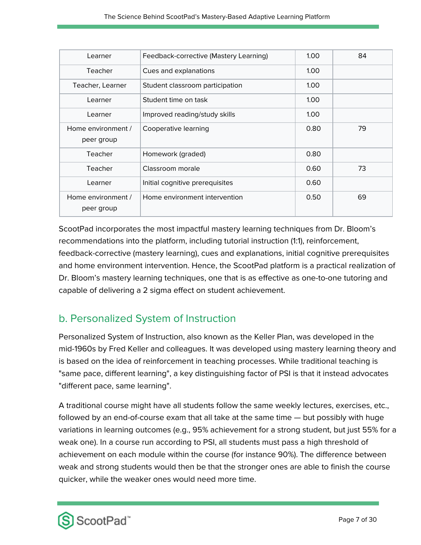| Learner                          | Feedback-corrective (Mastery Learning) | 1.00              | 84 |
|----------------------------------|----------------------------------------|-------------------|----|
| Teacher                          | Cues and explanations                  | 1.00 <sub>1</sub> |    |
| Teacher, Learner                 | Student classroom participation        | 1.00 <sub>1</sub> |    |
| Learner                          | Student time on task                   | 1.00 <sub>1</sub> |    |
| Learner                          | Improved reading/study skills          | 1.00              |    |
| Home environment /<br>peer group | Cooperative learning                   | 0.80              | 79 |
| Teacher                          | Homework (graded)                      | 0.80              |    |
| Teacher                          | Classroom morale                       | 0.60              | 73 |
| Learner                          | Initial cognitive prerequisites        | 0.60              |    |
| Home environment /<br>peer group | Home environment intervention          | 0.50              | 69 |

ScootPad incorporates the most impactful mastery learning techniques from Dr. Bloom's recommendations into the platform, including tutorial instruction (1:1), reinforcement, feedback-corrective (mastery learning), cues and explanations, initial cognitive prerequisites and home environment intervention. Hence, the ScootPad platform is a practical realization of Dr. Bloom's mastery learning techniques, one that is as effective as one-to-one tutoring and capable of delivering a 2 sigma effect on student achievement.

### b. Personalized System of Instruction

Personalized System of Instruction, also known as the Keller Plan, was developed in the mid-1960s by Fred Keller and colleagues. It was developed using mastery learning theory and is based on the idea of reinforcement in teaching processes. While traditional teaching is "same pace, different learning", a key distinguishing factor of PSI is that it instead advocates "different pace, same learning".

A traditional course might have all students follow the same weekly lectures, exercises, etc., followed by an end-of-course exam that all take at the same time — but possibly with huge variations in learning outcomes (e.g., 95% achievement for a strong student, but just 55% for a weak one). In a course run according to PSI, all students must pass a high threshold of achievement on each module within the course (for instance 90%). The difference between weak and strong students would then be that the stronger ones are able to finish the course quicker, while the weaker ones would need more time.

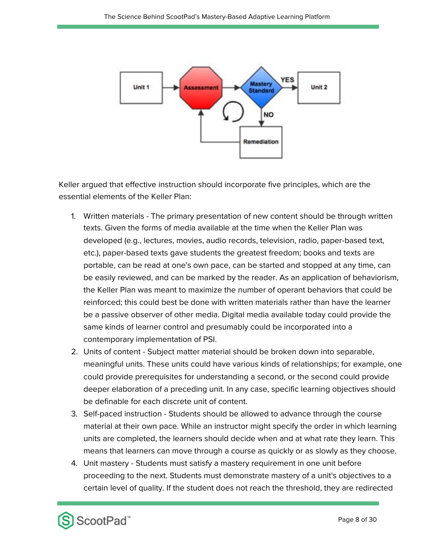

Keller argued that effective instruction should incorporate five principles, which are the essential elements of the Keller Plan:

- 1. Written materials The primary presentation of new content should be through written texts. Given the forms of media available at the time when the Keller Plan was developed (e.g., lectures, movies, audio records, television, radio, paper-based text, etc.), paper-based texts gave students the greatest freedom; books and texts are portable, can be read at one's own pace, can be started and stopped at any time, can be easily reviewed, and can be marked by the reader. As an application of behaviorism, the Keller Plan was meant to maximize the number of operant behaviors that could be reinforced; this could best be done with written materials rather than have the learner be a passive observer of other media. Digital media available today could provide the same kinds of learner control and presumably could be incorporated into a contemporary implementation of PSI.
- 2. Units of content Subject matter material should be broken down into separable, meaningful units. These units could have various kinds of relationships; for example, one could provide prerequisites for understanding a second, or the second could provide deeper elaboration of a preceding unit. In any case, specific learning objectives should be definable for each discrete unit of content.
- 3. Self-paced instruction Students should be allowed to advance through the course material at their own pace. While an instructor might specify the order in which learning units are completed, the learners should decide when and at what rate they learn. This means that learners can move through a course as quickly or as slowly as they choose.
- 4. Unit mastery Students must satisfy a mastery requirement in one unit before proceeding to the next. Students must demonstrate mastery of a unit's objectives to a certain level of quality. If the student does not reach the threshold, they are redirected

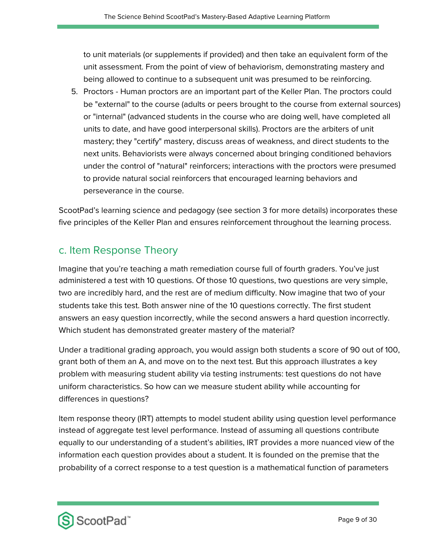to unit materials (or supplements if provided) and then take an equivalent form of the unit assessment. From the point of view of behaviorism, demonstrating mastery and being allowed to continue to a subsequent unit was presumed to be reinforcing.

5. Proctors - Human proctors are an important part of the Keller Plan. The proctors could be "external" to the course (adults or peers brought to the course from external sources) or "internal" (advanced students in the course who are doing well, have completed all units to date, and have good interpersonal skills). Proctors are the arbiters of unit mastery; they "certify" mastery, discuss areas of weakness, and direct students to the next units. Behaviorists were always concerned about bringing conditioned behaviors under the control of "natural" reinforcers; interactions with the proctors were presumed to provide natural social reinforcers that encouraged learning behaviors and perseverance in the course.

ScootPad's learning science and pedagogy (see section 3 for more details) incorporates these five principles of the Keller Plan and ensures reinforcement throughout the learning process.

#### c. Item Response Theory

Imagine that you're teaching a math remediation course full of fourth graders. You've just administered a test with 10 questions. Of those 10 questions, two questions are very simple, two are incredibly hard, and the rest are of medium difficulty. Now imagine that two of your students take this test. Both answer nine of the 10 questions correctly. The first student answers an easy question incorrectly, while the second answers a hard question incorrectly. Which student has demonstrated greater mastery of the material?

Under a traditional grading approach, you would assign both students a score of 90 out of 100, grant both of them an A, and move on to the next test. But this approach illustrates a key problem with measuring student ability via testing instruments: test questions do not have uniform characteristics. So how can we measure student ability while accounting for differences in questions?

Item response theory (IRT) attempts to model student ability using question level performance instead of aggregate test level performance. Instead of assuming all questions contribute equally to our understanding of a student's abilities, IRT provides a more nuanced view of the information each question provides about a student. It is founded on the premise that the probability of a correct response to a test question is a mathematical function of parameters

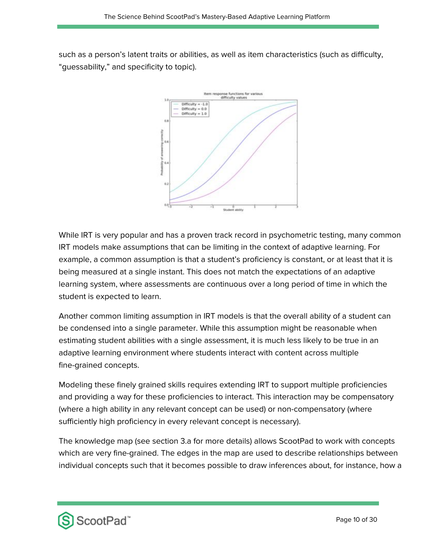such as a person's latent traits or abilities, as well as item characteristics (such as difficulty, "guessability," and specificity to topic).



While IRT is very popular and has a proven track record in psychometric testing, many common IRT models make assumptions that can be limiting in the context of adaptive learning. For example, a common assumption is that a student's proficiency is constant, or at least that it is being measured at a single instant. This does not match the expectations of an adaptive learning system, where assessments are continuous over a long period of time in which the student is expected to learn.

Another common limiting assumption in IRT models is that the overall ability of a student can be condensed into a single parameter. While this assumption might be reasonable when estimating student abilities with a single assessment, it is much less likely to be true in an adaptive learning environment where students interact with content across multiple fine-grained concepts.

Modeling these finely grained skills requires extending IRT to support multiple proficiencies and providing a way for these proficiencies to interact. This interaction may be compensatory (where a high ability in any relevant concept can be used) or non-compensatory (where sufficiently high proficiency in every relevant concept is necessary).

The knowledge map (see section 3.a for more details) allows ScootPad to work with concepts which are very fine-grained. The edges in the map are used to describe relationships between individual concepts such that it becomes possible to draw inferences about, for instance, how a

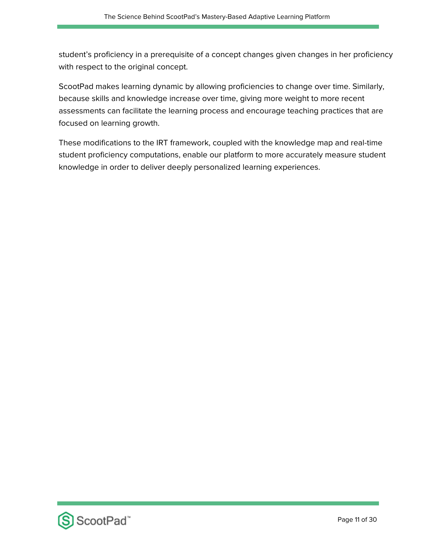student's proficiency in a prerequisite of a concept changes given changes in her proficiency with respect to the original concept.

ScootPad makes learning dynamic by allowing proficiencies to change over time. Similarly, because skills and knowledge increase over time, giving more weight to more recent assessments can facilitate the learning process and encourage teaching practices that are focused on learning growth.

These modifications to the IRT framework, coupled with the knowledge map and real-time student proficiency computations, enable our platform to more accurately measure student knowledge in order to deliver deeply personalized learning experiences.

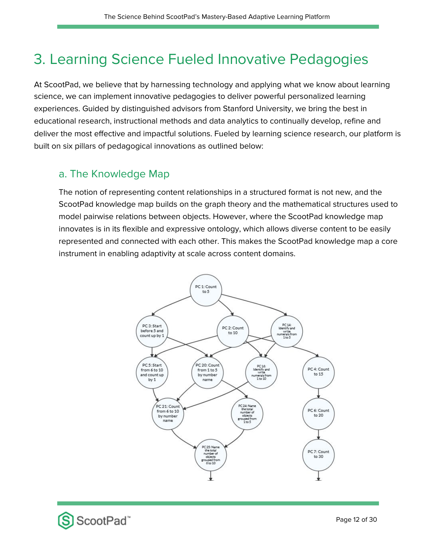## 3. Learning Science Fueled Innovative Pedagogies

At ScootPad, we believe that by harnessing technology and applying what we know about learning science, we can implement innovative pedagogies to deliver powerful personalized learning experiences. Guided by distinguished advisors from Stanford University, we bring the best in educational research, instructional methods and data analytics to continually develop, refine and deliver the most effective and impactful solutions. Fueled by learning science research, our platform is built on six pillars of pedagogical innovations as outlined below:

#### a. The Knowledge Map

The notion of representing content relationships in a structured format is not new, and the ScootPad knowledge map builds on the graph theory and the mathematical structures used to model pairwise relations between objects. However, where the ScootPad knowledge map innovates is in its flexible and expressive ontology, which allows diverse content to be easily represented and connected with each other. This makes the ScootPad knowledge map a core instrument in enabling adaptivity at scale across content domains.



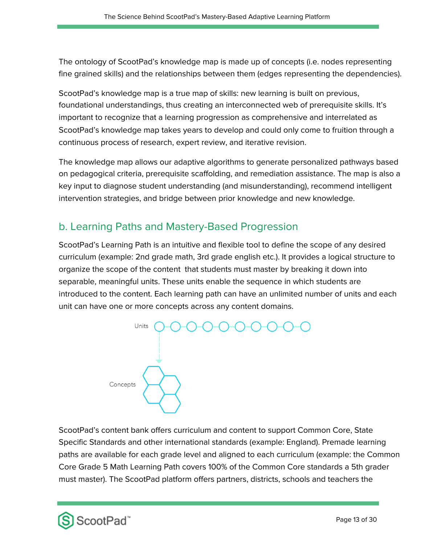The ontology of ScootPad's knowledge map is made up of concepts (i.e. nodes representing fine grained skills) and the relationships between them (edges representing the dependencies).

ScootPad's knowledge map is a true map of skills: new learning is built on previous, foundational understandings, thus creating an interconnected web of prerequisite skills. It's important to recognize that a learning progression as comprehensive and interrelated as ScootPad's knowledge map takes years to develop and could only come to fruition through a continuous process of research, expert review, and iterative revision.

The knowledge map allows our adaptive algorithms to generate personalized pathways based on pedagogical criteria, prerequisite scaffolding, and remediation assistance. The map is also a key input to diagnose student understanding (and misunderstanding), recommend intelligent intervention strategies, and bridge between prior knowledge and new knowledge.

#### b. Learning Paths and Mastery-Based Progression

ScootPad's Learning Path is an intuitive and flexible tool to define the scope of any desired curriculum (example: 2nd grade math, 3rd grade english etc.). It provides a logical structure to organize the scope of the content that students must master by breaking it down into separable, meaningful units. These units enable the sequence in which students are introduced to the content. Each learning path can have an unlimited number of units and each unit can have one or more concepts across any content domains.



ScootPad's content bank offers curriculum and content to support Common Core, State Specific Standards and other international standards (example: England). Premade learning paths are available for each grade level and aligned to each curriculum (example: the Common Core Grade 5 Math Learning Path covers 100% of the Common Core standards a 5th grader must master). The ScootPad platform offers partners, districts, schools and teachers the

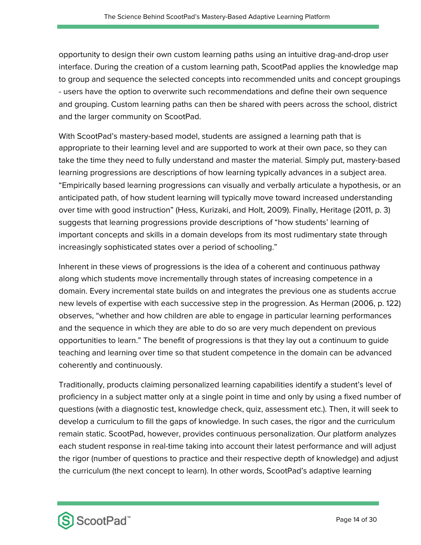opportunity to design their own custom learning paths using an intuitive drag-and-drop user interface. During the creation of a custom learning path, ScootPad applies the knowledge map to group and sequence the selected concepts into recommended units and concept groupings - users have the option to overwrite such recommendations and define their own sequence and grouping. Custom learning paths can then be shared with peers across the school, district and the larger community on ScootPad.

With ScootPad's mastery-based model, students are assigned a learning path that is appropriate to their learning level and are supported to work at their own pace, so they can take the time they need to fully understand and master the material. Simply put, mastery-based learning progressions are descriptions of how learning typically advances in a subject area. "Empirically based learning progressions can visually and verbally articulate a hypothesis, or an anticipated path, of how student learning will typically move toward increased understanding over time with good instruction" (Hess, Kurizaki, and Holt, 2009). Finally, Heritage (2011, p. 3) suggests that learning progressions provide descriptions of "how students' learning of important concepts and skills in a domain develops from its most rudimentary state through increasingly sophisticated states over a period of schooling."

Inherent in these views of progressions is the idea of a coherent and continuous pathway along which students move incrementally through states of increasing competence in a domain. Every incremental state builds on and integrates the previous one as students accrue new levels of expertise with each successive step in the progression. As Herman (2006, p. 122) observes, "whether and how children are able to engage in particular learning performances and the sequence in which they are able to do so are very much dependent on previous opportunities to learn." The benefit of progressions is that they lay out a continuum to guide teaching and learning over time so that student competence in the domain can be advanced coherently and continuously.

Traditionally, products claiming personalized learning capabilities identify a student's level of proficiency in a subject matter only at a single point in time and only by using a fixed number of questions (with a diagnostic test, knowledge check, quiz, assessment etc.). Then, it will seek to develop a curriculum to fill the gaps of knowledge. In such cases, the rigor and the curriculum remain static. ScootPad, however, provides continuous personalization. Our platform analyzes each student response in real-time taking into account their latest performance and will adjust the rigor (number of questions to practice and their respective depth of knowledge) and adjust the curriculum (the next concept to learn). In other words, ScootPad's adaptive learning

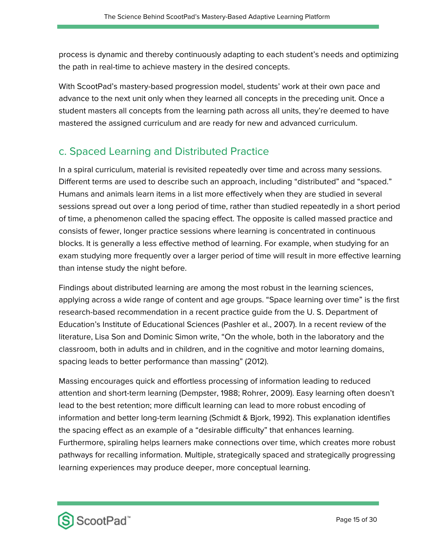process is dynamic and thereby continuously adapting to each student's needs and optimizing the path in real-time to achieve mastery in the desired concepts.

With ScootPad's mastery-based progression model, students' work at their own pace and advance to the next unit only when they learned all concepts in the preceding unit. Once a student masters all concepts from the learning path across all units, they're deemed to have mastered the assigned curriculum and are ready for new and advanced curriculum.

#### c. Spaced Learning and Distributed Practice

In a spiral curriculum, material is revisited repeatedly over time and across many sessions. Different terms are used to describe such an approach, including "distributed" and "spaced." Humans and animals learn items in a list more effectively when they are studied in several sessions spread out over a long period of time, rather than studied repeatedly in a short period of time, a phenomenon called the spacing effect. The opposite is called massed practice and consists of fewer, longer practice sessions where learning is concentrated in continuous blocks. It is generally a less effective method of learning. For example, when studying for an exam studying more frequently over a larger period of time will result in more effective learning than intense study the night before.

Findings about distributed learning are among the most robust in the learning sciences, applying across a wide range of content and age groups. "Space learning over time" is the first research-based recommendation in a recent practice guide from the U. S. Department of Education's Institute of Educational Sciences (Pashler et al., 2007). In a recent review of the literature, Lisa Son and Dominic Simon write, "On the whole, both in the laboratory and the classroom, both in adults and in children, and in the cognitive and motor learning domains, spacing leads to better performance than massing" (2012).

Massing encourages quick and effortless processing of information leading to reduced attention and short-term learning (Dempster, 1988; Rohrer, 2009). Easy learning often doesn't lead to the best retention; more difficult learning can lead to more robust encoding of information and better long-term learning (Schmidt & Bjork, 1992). This explanation identifies the spacing effect as an example of a "desirable difficulty" that enhances learning. Furthermore, spiraling helps learners make connections over time, which creates more robust pathways for recalling information. Multiple, strategically spaced and strategically progressing learning experiences may produce deeper, more conceptual learning.

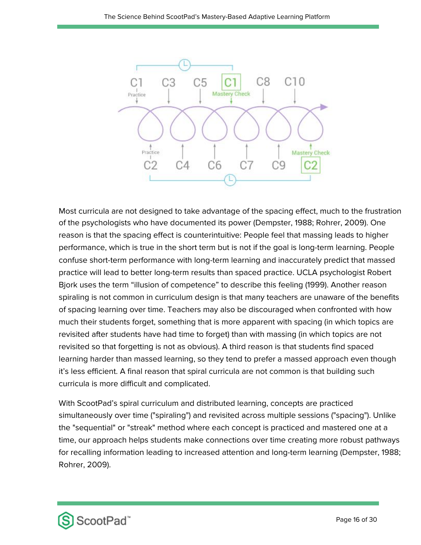

Most curricula are not designed to take advantage of the spacing effect, much to the frustration of the psychologists who have documented its power (Dempster, 1988; Rohrer, 2009). One reason is that the spacing effect is counterintuitive: People feel that massing leads to higher performance, which is true in the short term but is not if the goal is long-term learning. People confuse short-term performance with long-term learning and inaccurately predict that massed practice will lead to better long-term results than spaced practice. UCLA psychologist Robert Bjork uses the term "illusion of competence" to describe this feeling (1999). Another reason spiraling is not common in curriculum design is that many teachers are unaware of the benefits of spacing learning over time. Teachers may also be discouraged when confronted with how much their students forget, something that is more apparent with spacing (in which topics are revisited after students have had time to forget) than with massing (in which topics are not revisited so that forgetting is not as obvious). A third reason is that students find spaced learning harder than massed learning, so they tend to prefer a massed approach even though it's less efficient. A final reason that spiral curricula are not common is that building such curricula is more difficult and complicated.

With ScootPad's spiral curriculum and distributed learning, concepts are practiced simultaneously over time ("spiraling") and revisited across multiple sessions ("spacing"). Unlike the "sequential" or "streak" method where each concept is practiced and mastered one at a time, our approach helps students make connections over time creating more robust pathways for recalling information leading to increased attention and long-term learning (Dempster, 1988; Rohrer, 2009).

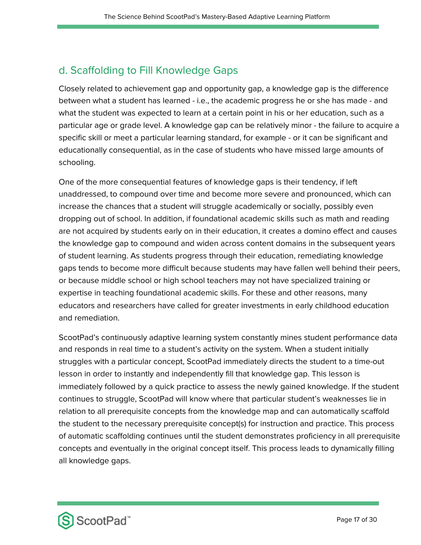### d. Scaffolding to Fill Knowledge Gaps

Closely related to achievement gap and opportunity gap, a knowledge gap is the difference between what a student has learned - i.e., the academic progress he or she has made - and what the student was expected to learn at a certain point in his or her education, such as a particular age or grade level. A knowledge gap can be relatively minor - the failure to acquire a specific skill or meet a particular learning standard, for example - or it can be significant and educationally consequential, as in the case of students who have missed large amounts of schooling.

One of the more consequential features of knowledge gaps is their tendency, if left unaddressed, to compound over time and become more severe and pronounced, which can increase the chances that a student will struggle academically or socially, possibly even dropping out of school. In addition, if foundational academic skills such as math and reading are not acquired by students early on in their education, it creates a domino effect and causes the knowledge gap to compound and widen across content domains in the subsequent years of student learning. As students progress through their education, remediating knowledge gaps tends to become more difficult because students may have fallen well behind their peers, or because middle school or high school teachers may not have specialized training or expertise in teaching foundational academic skills. For these and other reasons, many educators and researchers have called for greater investments in early childhood education and remediation.

ScootPad's continuously adaptive learning system constantly mines student performance data and responds in real time to a student's activity on the system. When a student initially struggles with a particular concept, ScootPad immediately directs the student to a time-out lesson in order to instantly and independently fill that knowledge gap. This lesson is immediately followed by a quick practice to assess the newly gained knowledge. If the student continues to struggle, ScootPad will know where that particular student's weaknesses lie in relation to all prerequisite concepts from the knowledge map and can automatically scaffold the student to the necessary prerequisite concept(s) for instruction and practice. This process of automatic scaffolding continues until the student demonstrates proficiency in all prerequisite concepts and eventually in the original concept itself. This process leads to dynamically filling all knowledge gaps.

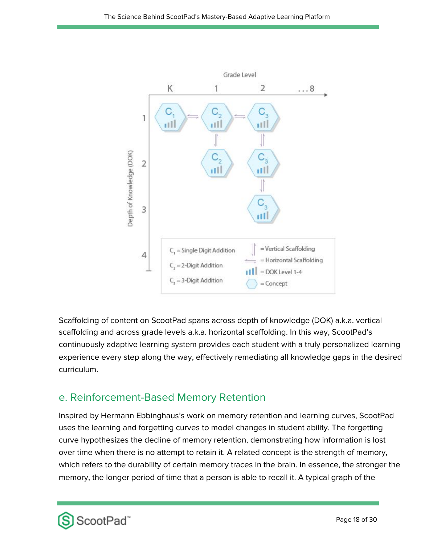

Scaffolding of content on ScootPad spans across depth of knowledge (DOK) a.k.a. vertical scaffolding and across grade levels a.k.a. horizontal scaffolding. In this way, ScootPad's continuously adaptive learning system provides each student with a truly personalized learning experience every step along the way, effectively remediating all knowledge gaps in the desired curriculum.

#### e. Reinforcement-Based Memory Retention

Inspired by Hermann Ebbinghaus's work on memory retention and learning curves, ScootPad uses the learning and forgetting curves to model changes in student ability. The forgetting curve hypothesizes the decline of memory retention, demonstrating how information is lost over time when there is no attempt to retain it. A related concept is the strength of memory, which refers to the durability of certain memory traces in the brain. In essence, the stronger the memory, the longer period of time that a person is able to recall it. A typical graph of the

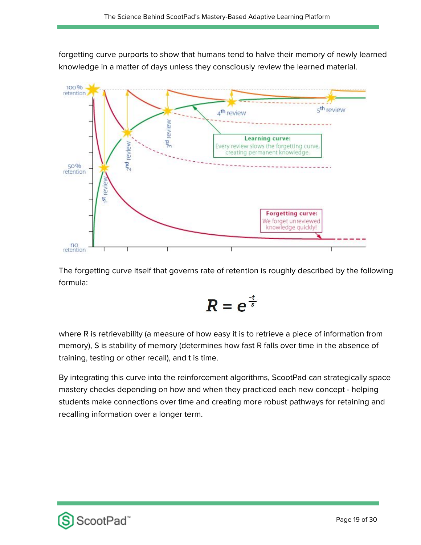forgetting curve purports to show that humans tend to halve their memory of newly learned knowledge in a matter of days unless they consciously review the learned material.



The forgetting curve itself that governs rate of retention is roughly described by the following formula:

$$
R=e^{\frac{-t}{s}}
$$

where R is retrievability (a measure of how easy it is to retrieve a piece of information from memory), S is stability of memory (determines how fast R falls over time in the absence of training, testing or other recall), and t is time.

By integrating this curve into the reinforcement algorithms, ScootPad can strategically space mastery checks depending on how and when they practiced each new concept - helping students make connections over time and creating more robust pathways for retaining and recalling information over a longer term.

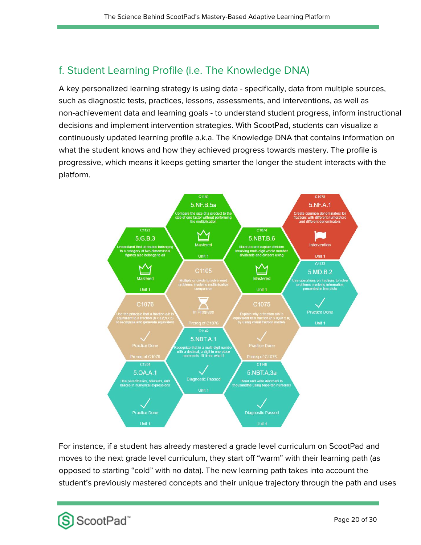### f. Student Learning Profile (i.e. The Knowledge DNA)

A key personalized learning strategy is using data - specifically, data from multiple sources, such as diagnostic tests, practices, lessons, assessments, and interventions, as well as non-achievement data and learning goals - to understand student progress, inform instructional decisions and implement intervention strategies. With ScootPad, students can visualize a continuously updated learning profile a.k.a. The Knowledge DNA that contains information on what the student knows and how they achieved progress towards mastery. The profile is progressive, which means it keeps getting smarter the longer the student interacts with the platform.



For instance, if a student has already mastered a grade level curriculum on ScootPad and moves to the next grade level curriculum, they start off "warm" with their learning path (as opposed to starting "cold" with no data). The new learning path takes into account the student's previously mastered concepts and their unique trajectory through the path and uses

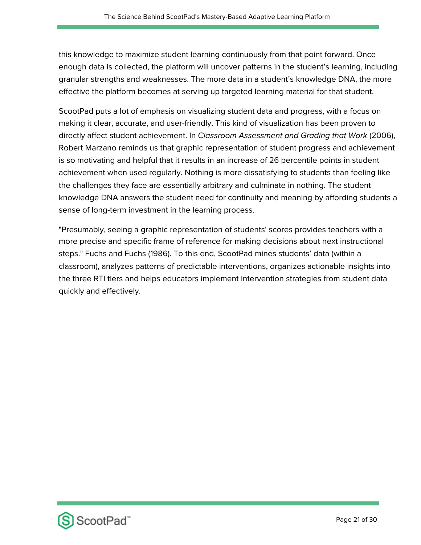this knowledge to maximize student learning continuously from that point forward. Once enough data is collected, the platform will uncover patterns in the student's learning, including granular strengths and weaknesses. The more data in a student's knowledge DNA, the more effective the platform becomes at serving up targeted learning material for that student.

ScootPad puts a lot of emphasis on visualizing student data and progress, with a focus on making it clear, accurate, and user-friendly. This kind of visualization has been proven to directly affect student achievement. In Classroom Assessment and Grading that Work (2006), Robert Marzano reminds us that graphic representation of student progress and achievement is so motivating and helpful that it results in an increase of 26 percentile points in student achievement when used regularly. Nothing is more dissatisfying to students than feeling like the challenges they face are essentially arbitrary and culminate in nothing. The student knowledge DNA answers the student need for continuity and meaning by affording students a sense of long-term investment in the learning process.

"Presumably, seeing a graphic representation of students' scores provides teachers with a more precise and specific frame of reference for making decisions about next instructional steps." Fuchs and Fuchs (1986). To this end, ScootPad mines students' data (within a classroom), analyzes patterns of predictable interventions, organizes actionable insights into the three RTI tiers and helps educators implement intervention strategies from student data quickly and effectively.

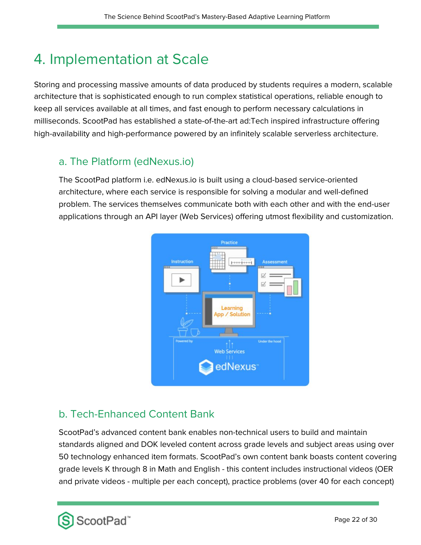## 4. Implementation at Scale

Storing and processing massive amounts of data produced by students requires a modern, scalable architecture that is sophisticated enough to run complex statistical operations, reliable enough to keep all services available at all times, and fast enough to perform necessary calculations in milliseconds. ScootPad has established a state-of-the-art ad:Tech inspired infrastructure offering high-availability and high-performance powered by an infinitely scalable serverless architecture.

#### a. The Platform (edNexus.io)

The ScootPad platform i.e. edNexus.io is built using a cloud-based service-oriented architecture, where each service is responsible for solving a modular and well-defined problem. The services themselves communicate both with each other and with the end-user applications through an API layer (Web Services) offering utmost flexibility and customization.



### b. Tech-Enhanced Content Bank

ScootPad's advanced content bank enables non-technical users to build and maintain standards aligned and DOK leveled content across grade levels and subject areas using over 50 technology enhanced item formats. ScootPad's own content bank boasts content covering grade levels K through 8 in Math and English - this content includes instructional videos (OER and private videos - multiple per each concept), practice problems (over 40 for each concept)

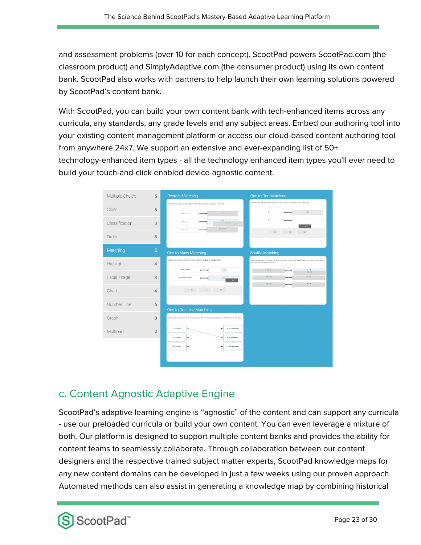and assessment problems (over 10 for each concept). ScootPad powers ScootPad.com (the classroom product) and SimplyAdaptive.com (the consumer product) using its own content bank. ScootPad also works with partners to help launch their own learning solutions powered by ScootPad's content bank.

With ScootPad, you can build your own content bank with tech-enhanced items across any curricula, any standards, any grade levels and any subject areas. Embed our authoring tool into your existing content management platform or access our cloud-based content authoring tool from anywhere 24x7. We support an extensive and ever-expanding list of 50+ technology-enhanced item types - all the technology enhanced item types you'll ever need to build your touch-and-click enabled device-agnostic content.



### c. Content Agnostic Adaptive Engine

ScootPad's adaptive learning engine is "agnostic" of the content and can support any curricula - use our preloaded curricula or build your own content. You can even leverage a mixture of both. Our platform is designed to support multiple content banks and provides the ability for content teams to seamlessly collaborate. Through collaboration between our content designers and the respective trained subject matter experts, ScootPad knowledge maps for any new content domains can be developed in just a few weeks using our proven approach. Automated methods can also assist in generating a knowledge map by combining historical

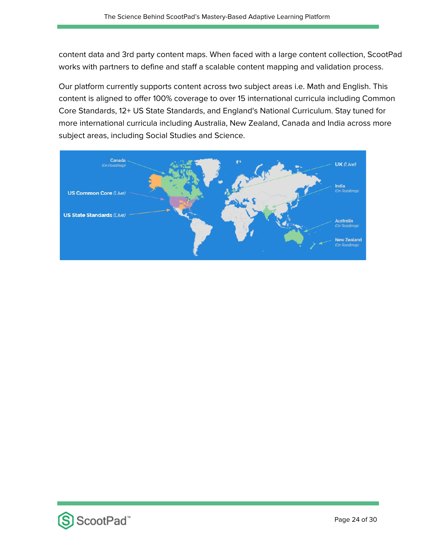content data and 3rd party content maps. When faced with a large content collection, ScootPad works with partners to define and staff a scalable content mapping and validation process.

Our platform currently supports content across two subject areas i.e. Math and English. This content is aligned to offer 100% coverage to over 15 international curricula including Common Core Standards, 12+ US State Standards, and England's National Curriculum. Stay tuned for more international curricula including Australia, New Zealand, Canada and India across more subject areas, including Social Studies and Science.



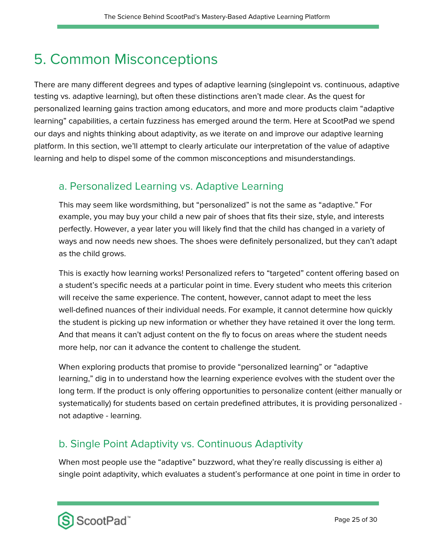## 5. Common Misconceptions

There are many different degrees and types of adaptive learning (singlepoint vs. continuous, adaptive testing vs. adaptive learning), but often these distinctions aren't made clear. As the quest for personalized learning gains traction among educators, and more and more products claim "adaptive learning" capabilities, a certain fuzziness has emerged around the term. Here at ScootPad we spend our days and nights thinking about adaptivity, as we iterate on and improve our adaptive learning platform. In this section, we'll attempt to clearly articulate our interpretation of the value of adaptive learning and help to dispel some of the common misconceptions and misunderstandings.

#### a. Personalized Learning vs. Adaptive Learning

This may seem like wordsmithing, but "personalized" is not the same as "adaptive." For example, you may buy your child a new pair of shoes that fits their size, style, and interests perfectly. However, a year later you will likely find that the child has changed in a variety of ways and now needs new shoes. The shoes were definitely personalized, but they can't adapt as the child grows.

This is exactly how learning works! Personalized refers to "targeted" content offering based on a student's specific needs at a particular point in time. Every student who meets this criterion will receive the same experience. The content, however, cannot adapt to meet the less well-defined nuances of their individual needs. For example, it cannot determine how quickly the student is picking up new information or whether they have retained it over the long term. And that means it can't adjust content on the fly to focus on areas where the student needs more help, nor can it advance the content to challenge the student.

When exploring products that promise to provide "personalized learning" or "adaptive learning," dig in to understand how the learning experience evolves with the student over the long term. If the product is only offering opportunities to personalize content (either manually or systematically) for students based on certain predefined attributes, it is providing personalized not adaptive - learning.

### b. Single Point Adaptivity vs. Continuous Adaptivity

When most people use the "adaptive" buzzword, what they're really discussing is either a) single point adaptivity, which evaluates a student's performance at one point in time in order to

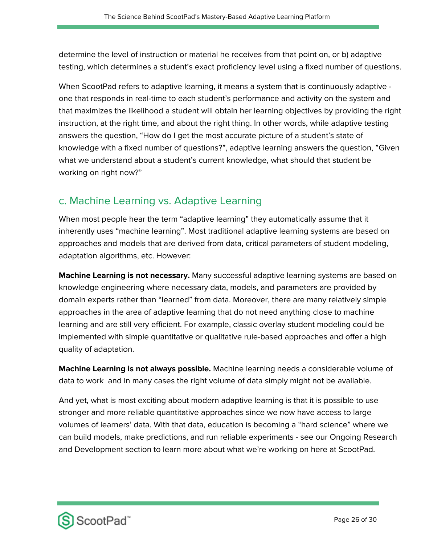determine the level of instruction or material he receives from that point on, or b) adaptive testing, which determines a student's exact proficiency level using a fixed number of questions.

When ScootPad refers to adaptive learning, it means a system that is continuously adaptive one that responds in real-time to each student's performance and activity on the system and that maximizes the likelihood a student will obtain her learning objectives by providing the right instruction, at the right time, and about the right thing. In other words, while adaptive testing answers the question, "How do I get the most accurate picture of a student's state of knowledge with a fixed number of questions?", adaptive learning answers the question, "Given what we understand about a student's current knowledge, what should that student be working on right now?"

#### c. Machine Learning vs. Adaptive Learning

When most people hear the term "adaptive learning" they automatically assume that it inherently uses "machine learning". Most traditional adaptive learning systems are based on approaches and models that are derived from data, critical parameters of student modeling, adaptation algorithms, etc. However:

**Machine Learning is not necessary.** Many successful adaptive learning systems are based on knowledge engineering where necessary data, models, and parameters are provided by domain experts rather than "learned" from data. Moreover, there are many relatively simple approaches in the area of adaptive learning that do not need anything close to machine learning and are still very efficient. For example, classic overlay student modeling could be implemented with simple quantitative or qualitative rule-based approaches and offer a high quality of adaptation.

**Machine Learning is not always possible.** Machine learning needs a considerable volume of data to work and in many cases the right volume of data simply might not be available.

And yet, what is most exciting about modern adaptive learning is that it is possible to use stronger and more reliable quantitative approaches since we now have access to large volumes of learners' data. With that data, education is becoming a "hard science" where we can build models, make predictions, and run reliable experiments - see our Ongoing Research and Development section to learn more about what we're working on here at ScootPad.

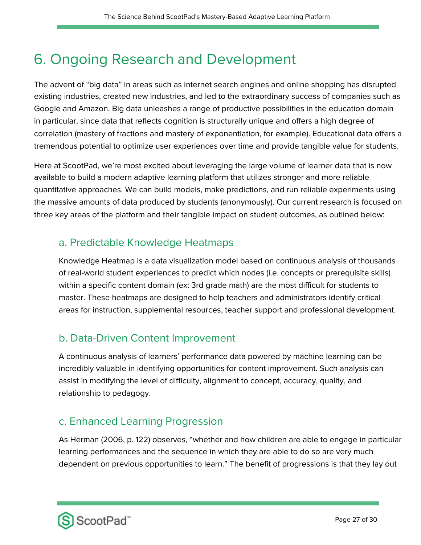## 6. Ongoing Research and Development

The advent of "big data" in areas such as internet search engines and online shopping has disrupted existing industries, created new industries, and led to the extraordinary success of companies such as Google and Amazon. Big data unleashes a range of productive possibilities in the education domain in particular, since data that reflects cognition is structurally unique and offers a high degree of correlation (mastery of fractions and mastery of exponentiation, for example). Educational data offers a tremendous potential to optimize user experiences over time and provide tangible value for students.

Here at ScootPad, we're most excited about leveraging the large volume of learner data that is now available to build a modern adaptive learning platform that utilizes stronger and more reliable quantitative approaches. We can build models, make predictions, and run reliable experiments using the massive amounts of data produced by students (anonymously). Our current research is focused on three key areas of the platform and their tangible impact on student outcomes, as outlined below:

#### a. Predictable Knowledge Heatmaps

Knowledge Heatmap is a data visualization model based on continuous analysis of thousands of real-world student experiences to predict which nodes (i.e. concepts or prerequisite skills) within a specific content domain (ex: 3rd grade math) are the most difficult for students to master. These heatmaps are designed to help teachers and administrators identify critical areas for instruction, supplemental resources, teacher support and professional development.

### b. Data-Driven Content Improvement

A continuous analysis of learners' performance data powered by machine learning can be incredibly valuable in identifying opportunities for content improvement. Such analysis can assist in modifying the level of difficulty, alignment to concept, accuracy, quality, and relationship to pedagogy.

#### c. Enhanced Learning Progression

As Herman (2006, p. 122) observes, "whether and how children are able to engage in particular learning performances and the sequence in which they are able to do so are very much dependent on previous opportunities to learn." The benefit of progressions is that they lay out

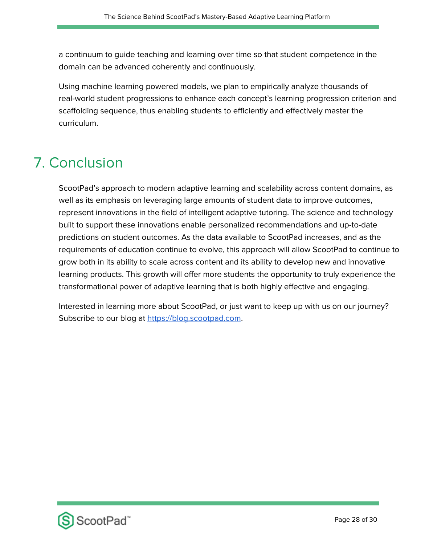a continuum to guide teaching and learning over time so that student competence in the domain can be advanced coherently and continuously.

Using machine learning powered models, we plan to empirically analyze thousands of real-world student progressions to enhance each concept's learning progression criterion and scaffolding sequence, thus enabling students to efficiently and effectively master the curriculum.

## 7. Conclusion

ScootPad's approach to modern adaptive learning and scalability across content domains, as well as its emphasis on leveraging large amounts of student data to improve outcomes, represent innovations in the field of intelligent adaptive tutoring. The science and technology built to support these innovations enable personalized recommendations and up-to-date predictions on student outcomes. As the data available to ScootPad increases, and as the requirements of education continue to evolve, this approach will allow ScootPad to continue to grow both in its ability to scale across content and its ability to develop new and innovative learning products. This growth will offer more students the opportunity to truly experience the transformational power of adaptive learning that is both highly effective and engaging.

Interested in learning more about ScootPad, or just want to keep up with us on our journey? Subscribe to our blog at [https://blog.scootpad.com](https://blog.scootpad.com/).

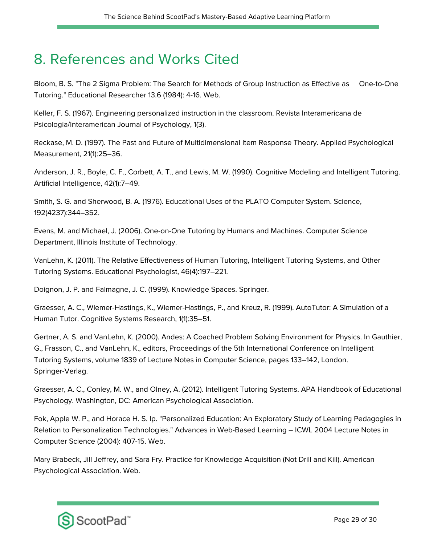### 8. References and Works Cited

Bloom, B. S. "The 2 Sigma Problem: The Search for Methods of Group Instruction as Effective as One-to-One Tutoring." Educational Researcher 13.6 (1984): 4-16. Web.

Keller, F. S. (1967). Engineering personalized instruction in the classroom. Revista Interamericana de Psicologia/Interamerican Journal of Psychology, 1(3).

Reckase, M. D. (1997). The Past and Future of Multidimensional Item Response Theory. Applied Psychological Measurement, 21(1):25–36.

Anderson, J. R., Boyle, C. F., Corbett, A. T., and Lewis, M. W. (1990). Cognitive Modeling and Intelligent Tutoring. Artificial Intelligence, 42(1):7–49.

Smith, S. G. and Sherwood, B. A. (1976). Educational Uses of the PLATO Computer System. Science, 192(4237):344–352.

Evens, M. and Michael, J. (2006). One-on-One Tutoring by Humans and Machines. Computer Science Department, Illinois Institute of Technology.

VanLehn, K. (2011). The Relative Effectiveness of Human Tutoring, Intelligent Tutoring Systems, and Other Tutoring Systems. Educational Psychologist, 46(4):197–221.

Doignon, J. P. and Falmagne, J. C. (1999). Knowledge Spaces. Springer.

Graesser, A. C., Wiemer-Hastings, K., Wiemer-Hastings, P., and Kreuz, R. (1999). AutoTutor: A Simulation of a Human Tutor. Cognitive Systems Research, 1(1):35–51.

Gertner, A. S. and VanLehn, K. (2000). Andes: A Coached Problem Solving Environment for Physics. In Gauthier, G., Frasson, C., and VanLehn, K., editors, Proceedings of the 5th International Conference on Intelligent Tutoring Systems, volume 1839 of Lecture Notes in Computer Science, pages 133–142, London. Springer-Verlag.

Graesser, A. C., Conley, M. W., and Olney, A. (2012). Intelligent Tutoring Systems. APA Handbook of Educational Psychology. Washington, DC: American Psychological Association.

Fok, Apple W. P., and Horace H. S. Ip. "Personalized Education: An Exploratory Study of Learning Pedagogies in Relation to Personalization Technologies." Advances in Web-Based Learning – ICWL 2004 Lecture Notes in Computer Science (2004): 407-15. Web.

Mary Brabeck, Jill Jeffrey, and Sara Fry. Practice for Knowledge Acquisition (Not Drill and Kill). American Psychological Association. Web.